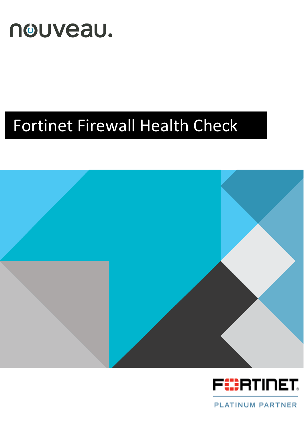

# Fortinet Firewall Health Check





**PLATINUM PARTNER**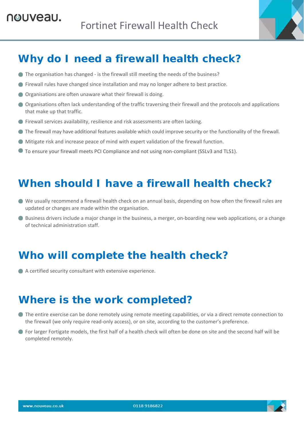

# **Why do I need a firewall health check?**

- The organisation has changed is the firewall still meeting the needs of the business?
- Firewall rules have changed since installation and may no longer adhere to best practice.
- Organisations are often unaware what their firewall is doing.
- Organisations often lack understanding of the traffic traversing their firewall and the protocols and applications that make up that traffic.
- Firewall services availability, resilience and risk assessments are often lacking.
- The firewall may have additional features available which could improve security or the functionality of the firewall.
- Mitigate risk and increase peace of mind with expert validation of the firewall function.
- To ensure your firewall meets PCI Compliance and not using non-compliant (SSLv3 and TLS1).

### **When should I have a firewall health check?**

- We usually recommend a firewall health check on an annual basis, depending on how often the firewall rules are updated or changes are made within the organisation.
- Business drivers include a major change in the business, a merger, on-boarding new web applications, or a change of technical administration staff.

# **Who will complete the health check?**

A certified security consultant with extensive experience.

### **Where is the work completed?**

- The entire exercise can be done remotely using remote meeting capabilities, or via a direct remote connection to the firewall (we only require read‐only access), or on site, according to the customer's preference.
- For larger Fortigate models, the first half of a health check will often be done on site and the second half will be completed remotely.